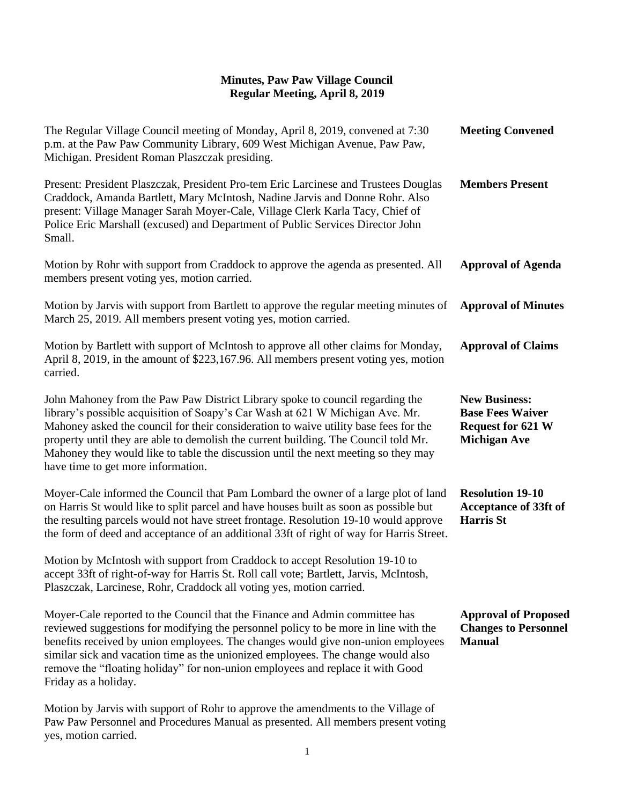## **Minutes, Paw Paw Village Council Regular Meeting, April 8, 2019**

| The Regular Village Council meeting of Monday, April 8, 2019, convened at 7:30<br>p.m. at the Paw Paw Community Library, 609 West Michigan Avenue, Paw Paw,<br>Michigan. President Roman Plaszczak presiding.                                                                                                                                                                                                                                                             | <b>Meeting Convened</b>                                                                            |
|---------------------------------------------------------------------------------------------------------------------------------------------------------------------------------------------------------------------------------------------------------------------------------------------------------------------------------------------------------------------------------------------------------------------------------------------------------------------------|----------------------------------------------------------------------------------------------------|
| Present: President Plaszczak, President Pro-tem Eric Larcinese and Trustees Douglas<br>Craddock, Amanda Bartlett, Mary McIntosh, Nadine Jarvis and Donne Rohr. Also<br>present: Village Manager Sarah Moyer-Cale, Village Clerk Karla Tacy, Chief of<br>Police Eric Marshall (excused) and Department of Public Services Director John<br>Small.                                                                                                                          | <b>Members Present</b>                                                                             |
| Motion by Rohr with support from Craddock to approve the agenda as presented. All<br>members present voting yes, motion carried.                                                                                                                                                                                                                                                                                                                                          | <b>Approval of Agenda</b>                                                                          |
| Motion by Jarvis with support from Bartlett to approve the regular meeting minutes of<br>March 25, 2019. All members present voting yes, motion carried.                                                                                                                                                                                                                                                                                                                  | <b>Approval of Minutes</b>                                                                         |
| Motion by Bartlett with support of McIntosh to approve all other claims for Monday,<br>April 8, 2019, in the amount of \$223,167.96. All members present voting yes, motion<br>carried.                                                                                                                                                                                                                                                                                   | <b>Approval of Claims</b>                                                                          |
| John Mahoney from the Paw Paw District Library spoke to council regarding the<br>library's possible acquisition of Soapy's Car Wash at 621 W Michigan Ave. Mr.<br>Mahoney asked the council for their consideration to waive utility base fees for the<br>property until they are able to demolish the current building. The Council told Mr.<br>Mahoney they would like to table the discussion until the next meeting so they may<br>have time to get more information. | <b>New Business:</b><br><b>Base Fees Waiver</b><br><b>Request for 621 W</b><br><b>Michigan Ave</b> |
| Moyer-Cale informed the Council that Pam Lombard the owner of a large plot of land<br>on Harris St would like to split parcel and have houses built as soon as possible but<br>the resulting parcels would not have street frontage. Resolution 19-10 would approve<br>the form of deed and acceptance of an additional 33ft of right of way for Harris Street.                                                                                                           | <b>Resolution 19-10</b><br><b>Acceptance of 33ft of</b><br><b>Harris St</b>                        |
| Motion by McIntosh with support from Craddock to accept Resolution 19-10 to<br>accept 33ft of right-of-way for Harris St. Roll call vote; Bartlett, Jarvis, McIntosh,<br>Plaszczak, Larcinese, Rohr, Craddock all voting yes, motion carried.                                                                                                                                                                                                                             |                                                                                                    |
| Moyer-Cale reported to the Council that the Finance and Admin committee has<br>reviewed suggestions for modifying the personnel policy to be more in line with the<br>benefits received by union employees. The changes would give non-union employees<br>similar sick and vacation time as the unionized employees. The change would also<br>remove the "floating holiday" for non-union employees and replace it with Good<br>Friday as a holiday.                      | <b>Approval of Proposed</b><br><b>Changes to Personnel</b><br><b>Manual</b>                        |
| Motion by Jarvis with support of Rohr to approve the amendments to the Village of<br>Paw Paw Personnel and Procedures Manual as presented. All members present voting<br>yes, motion carried.                                                                                                                                                                                                                                                                             |                                                                                                    |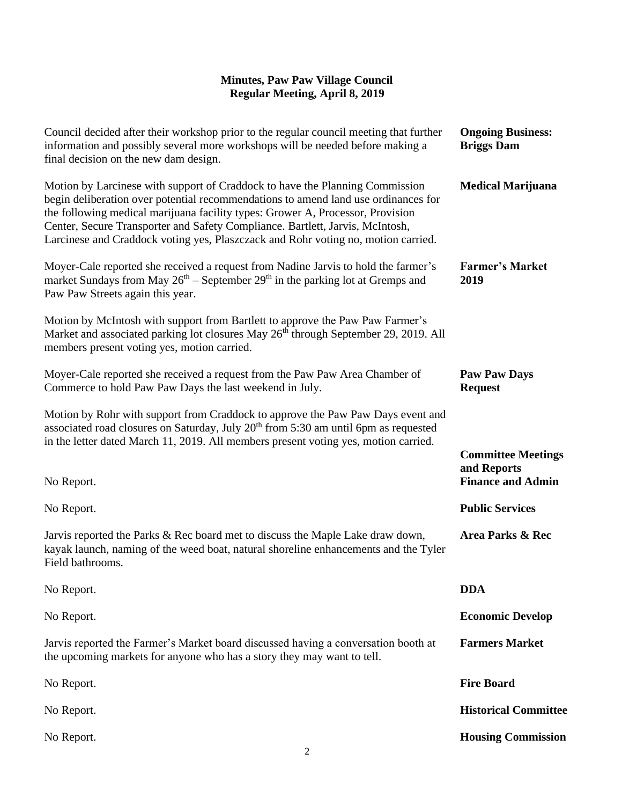## **Minutes, Paw Paw Village Council Regular Meeting, April 8, 2019**

| Council decided after their workshop prior to the regular council meeting that further<br>information and possibly several more workshops will be needed before making a<br>final decision on the new dam design.                                                                                                                                                                                                          | <b>Ongoing Business:</b><br><b>Briggs Dam</b>                        |
|----------------------------------------------------------------------------------------------------------------------------------------------------------------------------------------------------------------------------------------------------------------------------------------------------------------------------------------------------------------------------------------------------------------------------|----------------------------------------------------------------------|
| Motion by Larcinese with support of Craddock to have the Planning Commission<br>begin deliberation over potential recommendations to amend land use ordinances for<br>the following medical marijuana facility types: Grower A, Processor, Provision<br>Center, Secure Transporter and Safety Compliance. Bartlett, Jarvis, McIntosh,<br>Larcinese and Craddock voting yes, Plaszczack and Rohr voting no, motion carried. | <b>Medical Marijuana</b>                                             |
| Moyer-Cale reported she received a request from Nadine Jarvis to hold the farmer's<br>market Sundays from May $26th$ – September $29th$ in the parking lot at Gremps and<br>Paw Paw Streets again this year.                                                                                                                                                                                                               | <b>Farmer's Market</b><br>2019                                       |
| Motion by McIntosh with support from Bartlett to approve the Paw Paw Farmer's<br>Market and associated parking lot closures May 26 <sup>th</sup> through September 29, 2019. All<br>members present voting yes, motion carried.                                                                                                                                                                                            |                                                                      |
| Moyer-Cale reported she received a request from the Paw Paw Area Chamber of<br>Commerce to hold Paw Paw Days the last weekend in July.                                                                                                                                                                                                                                                                                     | <b>Paw Paw Days</b><br><b>Request</b>                                |
| Motion by Rohr with support from Craddock to approve the Paw Paw Days event and<br>associated road closures on Saturday, July 20 <sup>th</sup> from 5:30 am until 6pm as requested<br>in the letter dated March 11, 2019. All members present voting yes, motion carried.                                                                                                                                                  |                                                                      |
| No Report.                                                                                                                                                                                                                                                                                                                                                                                                                 | <b>Committee Meetings</b><br>and Reports<br><b>Finance and Admin</b> |
| No Report.                                                                                                                                                                                                                                                                                                                                                                                                                 | <b>Public Services</b>                                               |
| Jarvis reported the Parks & Rec board met to discuss the Maple Lake draw down,<br>kayak launch, naming of the weed boat, natural shoreline enhancements and the Tyler<br>Field bathrooms.                                                                                                                                                                                                                                  | Area Parks & Rec                                                     |
| No Report.                                                                                                                                                                                                                                                                                                                                                                                                                 | <b>DDA</b>                                                           |
| No Report.                                                                                                                                                                                                                                                                                                                                                                                                                 | <b>Economic Develop</b>                                              |
| Jarvis reported the Farmer's Market board discussed having a conversation booth at<br>the upcoming markets for anyone who has a story they may want to tell.                                                                                                                                                                                                                                                               | <b>Farmers Market</b>                                                |
| No Report.                                                                                                                                                                                                                                                                                                                                                                                                                 | <b>Fire Board</b>                                                    |
| No Report.                                                                                                                                                                                                                                                                                                                                                                                                                 | <b>Historical Committee</b>                                          |
| No Report.                                                                                                                                                                                                                                                                                                                                                                                                                 | <b>Housing Commission</b>                                            |